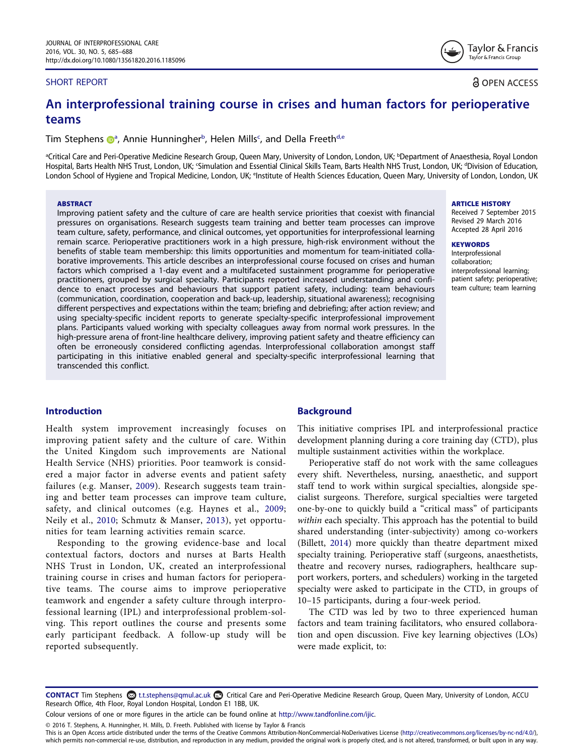#### SHORT REPORT

Taylor & Francis Taylor & Francis Group

**a** OPEN ACCESS

# An interprofessional training course in crises and human factors for perioperative teams

Tim Stephens @<sup>[a](#page-0-0)</sup>, Annie Hunningher<sup>b</sup>, Helen Mills<sup>[c](#page-0-1)</sup>, an[d](#page-0-1) Della Freeth<sup>d[,e](#page-0-2)</sup>

<span id="page-0-2"></span><span id="page-0-1"></span><span id="page-0-0"></span><sup>a</sup>Critical Care and Peri-Operative Medicine Research Group, Queen Mary, University of London, London, UK; <sup>b</sup>Department of Anaesthesia, Royal London Hospital, Barts Health NHS Trust, London, UK; <sup>c</sup>Simulation and Essential Clinical Skills Team, Barts Health NHS Trust, London, UK; <sup>d</sup>Division of Education, London School of Hygiene and Tropical Medicine, London, UK; <sup>e</sup>lnstitute of Health Sciences Education, Queen Mary, University of London, London, UK

#### ABSTRACT

Improving patient safety and the culture of care are health service priorities that coexist with financial pressures on organisations. Research suggests team training and better team processes can improve team culture, safety, performance, and clinical outcomes, yet opportunities for interprofessional learning remain scarce. Perioperative practitioners work in a high pressure, high-risk environment without the benefits of stable team membership: this limits opportunities and momentum for team-initiated collaborative improvements. This article describes an interprofessional course focused on crises and human factors which comprised a 1-day event and a multifaceted sustainment programme for perioperative practitioners, grouped by surgical specialty. Participants reported increased understanding and confidence to enact processes and behaviours that support patient safety, including: team behaviours (communication, coordination, cooperation and back-up, leadership, situational awareness); recognising different perspectives and expectations within the team; briefing and debriefing; after action review; and using specialty-specific incident reports to generate specialty-specific interprofessional improvement plans. Participants valued working with specialty colleagues away from normal work pressures. In the high-pressure arena of front-line healthcare delivery, improving patient safety and theatre efficiency can often be erroneously considered conflicting agendas. Interprofessional collaboration amongst staff participating in this initiative enabled general and specialty-specific interprofessional learning that transcended this conflict.

# Introduction

Health system improvement increasingly focuses on improving patient safety and the culture of care. Within the United Kingdom such improvements are National Health Service (NHS) priorities. Poor teamwork is considered a major factor in adverse events and patient safety failures (e.g. Manser, [2009](#page-3-0)). Research suggests team training and better team processes can improve team culture, safety, and clinical outcomes (e.g. Haynes et al., [2009;](#page-3-1) Neily et al., [2010](#page-3-2); Schmutz & Manser, [2013](#page-3-3)), yet opportunities for team learning activities remain scarce.

Responding to the growing evidence-base and local contextual factors, doctors and nurses at Barts Health NHS Trust in London, UK, created an interprofessional training course in crises and human factors for perioperative teams. The course aims to improve perioperative teamwork and engender a safety culture through interprofessional learning (IPL) and interprofessional problem-solving. This report outlines the course and presents some early participant feedback. A follow-up study will be reported subsequently.

## Background

This initiative comprises IPL and interprofessional practice development planning during a core training day (CTD), plus multiple sustainment activities within the workplace.

Perioperative staff do not work with the same colleagues every shift. Nevertheless, nursing, anaesthetic, and support staff tend to work within surgical specialties, alongside specialist surgeons. Therefore, surgical specialties were targeted one-by-one to quickly build a "critical mass" of participants within each specialty. This approach has the potential to build shared understanding (inter-subjectivity) among co-workers (Billett, [2014](#page-3-4)) more quickly than theatre department mixed specialty training. Perioperative staff (surgeons, anaesthetists, theatre and recovery nurses, radiographers, healthcare support workers, porters, and schedulers) working in the targeted specialty were asked to participate in the CTD, in groups of 10–15 participants, during a four-week period.

The CTD was led by two to three experienced human factors and team training facilitators, who ensured collaboration and open discussion. Five key learning objectives (LOs) were made explicit, to:

CONTACT Tim Stephens <sup>©</sup> t.t.stephens@qmul.ac.uk <sup>■</sup> Critical Care and Peri-Operative Medicine Research Group, Queen Mary, University of London, ACCU Research Office, 4th Floor, Royal London Hospital, London E1 1BB, UK.

Colour versions of one or more figures in the article can be found online at <http://www.tandfonline.com/ijic>.

© 2016 T. Stephens, A. Hunningher, H. Mills, D. Freeth. Published with license by Taylor & Francis

This is an Open Access article distributed under the terms of the Creative Commons Attribution-NonCommercial-NoDerivatives License (http://creativecommons.org/licenses/by-nc-nd/4.0/), which permits non-commercial re-use, distribution, and reproduction in any medium, provided the original work is properly cited, and is not altered, transformed, or built upon in any way.

#### ARTICLE HISTORY

Received 7 September 2015 Revised 29 March 2016 Accepted 28 April 2016

#### **KEYWORDS**

Interprofessional collaboration; interprofessional learning; patient safety; perioperative; team culture; team learning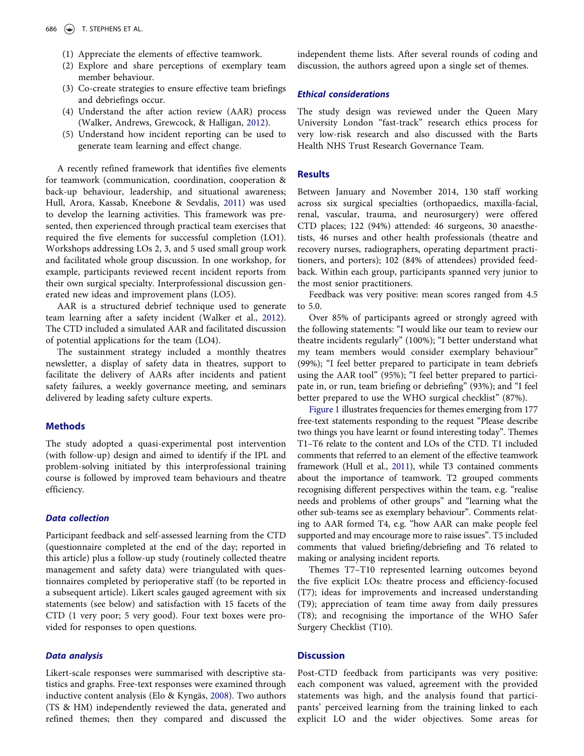- (1) Appreciate the elements of effective teamwork.
- (2) Explore and share perceptions of exemplary team member behaviour.
- (3) Co-create strategies to ensure effective team briefings and debriefings occur.
- (4) Understand the after action review (AAR) process (Walker, Andrews, Grewcock, & Halligan, [2012\)](#page-3-5).
- (5) Understand how incident reporting can be used to generate team learning and effect change.

A recently refined framework that identifies five elements for teamwork (communication, coordination, cooperation & back-up behaviour, leadership, and situational awareness; Hull, Arora, Kassab, Kneebone & Sevdalis, [2011\)](#page-3-6) was used to develop the learning activities. This framework was presented, then experienced through practical team exercises that required the five elements for successful completion (LO1). Workshops addressing LOs 2, 3, and 5 used small group work and facilitated whole group discussion. In one workshop, for example, participants reviewed recent incident reports from their own surgical specialty. Interprofessional discussion generated new ideas and improvement plans (LO5).

AAR is a structured debrief technique used to generate team learning after a safety incident (Walker et al., [2012](#page-3-5)). The CTD included a simulated AAR and facilitated discussion of potential applications for the team (LO4).

The sustainment strategy included a monthly theatres newsletter, a display of safety data in theatres, support to facilitate the delivery of AARs after incidents and patient safety failures, a weekly governance meeting, and seminars delivered by leading safety culture experts.

# **Methods**

The study adopted a quasi-experimental post intervention (with follow-up) design and aimed to identify if the IPL and problem-solving initiated by this interprofessional training course is followed by improved team behaviours and theatre efficiency.

#### Data collection

Participant feedback and self-assessed learning from the CTD (questionnaire completed at the end of the day; reported in this article) plus a follow-up study (routinely collected theatre management and safety data) were triangulated with questionnaires completed by perioperative staff (to be reported in a subsequent article). Likert scales gauged agreement with six statements (see below) and satisfaction with 15 facets of the CTD (1 very poor; 5 very good). Four text boxes were provided for responses to open questions.

## Data analysis

Likert-scale responses were summarised with descriptive statistics and graphs. Free-text responses were examined through inductive content analysis (Elo & Kyngäs, [2008\)](#page-3-7). Two authors (TS & HM) independently reviewed the data, generated and refined themes; then they compared and discussed the independent theme lists. After several rounds of coding and discussion, the authors agreed upon a single set of themes.

## Ethical considerations

The study design was reviewed under the Queen Mary University London "fast-track" research ethics process for very low-risk research and also discussed with the Barts Health NHS Trust Research Governance Team.

## **Results**

Between January and November 2014, 130 staff working across six surgical specialties (orthopaedics, maxilla-facial, renal, vascular, trauma, and neurosurgery) were offered CTD places; 122 (94%) attended: 46 surgeons, 30 anaesthetists, 46 nurses and other health professionals (theatre and recovery nurses, radiographers, operating department practitioners, and porters); 102 (84% of attendees) provided feedback. Within each group, participants spanned very junior to the most senior practitioners.

Feedback was very positive: mean scores ranged from 4.5 to 5.0.

Over 85% of participants agreed or strongly agreed with the following statements: "I would like our team to review our theatre incidents regularly" (100%); "I better understand what my team members would consider exemplary behaviour" (99%); "I feel better prepared to participate in team debriefs using the AAR tool" (95%); "I feel better prepared to participate in, or run, team briefing or debriefing" (93%); and "I feel better prepared to use the WHO surgical checklist" (87%).

[Figure 1](#page-2-0) illustrates frequencies for themes emerging from 177 free-text statements responding to the request "Please describe two things you have learnt or found interesting today". Themes T1–T6 relate to the content and LOs of the CTD. T1 included comments that referred to an element of the effective teamwork framework (Hull et al., [2011\)](#page-3-6), while T3 contained comments about the importance of teamwork. T2 grouped comments recognising different perspectives within the team, e.g. "realise needs and problems of other groups" and "learning what the other sub-teams see as exemplary behaviour". Comments relating to AAR formed T4, e.g. "how AAR can make people feel supported and may encourage more to raise issues". T5 included comments that valued briefing/debriefing and T6 related to making or analysing incident reports.

Themes T7–T10 represented learning outcomes beyond the five explicit LOs: theatre process and efficiency-focused (T7); ideas for improvements and increased understanding (T9); appreciation of team time away from daily pressures (T8); and recognising the importance of the WHO Safer Surgery Checklist (T10).

# **Discussion**

Post-CTD feedback from participants was very positive: each component was valued, agreement with the provided statements was high, and the analysis found that participants' perceived learning from the training linked to each explicit LO and the wider objectives. Some areas for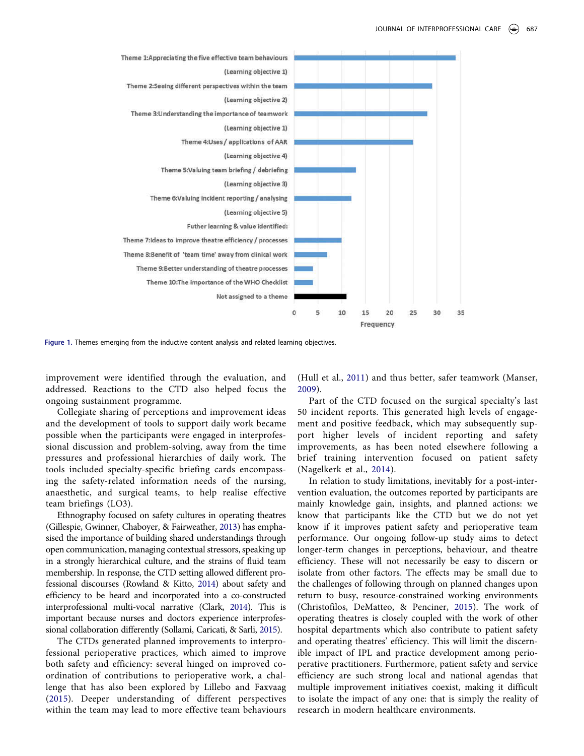

<span id="page-2-0"></span>Figure 1. Themes emerging from the inductive content analysis and related learning objectives.

improvement were identified through the evaluation, and addressed. Reactions to the CTD also helped focus the ongoing sustainment programme.

Collegiate sharing of perceptions and improvement ideas and the development of tools to support daily work became possible when the participants were engaged in interprofessional discussion and problem-solving, away from the time pressures and professional hierarchies of daily work. The tools included specialty-specific briefing cards encompassing the safety-related information needs of the nursing, anaesthetic, and surgical teams, to help realise effective team briefings (LO3).

Ethnography focused on safety cultures in operating theatres (Gillespie, Gwinner, Chaboyer, & Fairweather, [2013\)](#page-3-8) has emphasised the importance of building shared understandings through open communication, managing contextual stressors, speaking up in a strongly hierarchical culture, and the strains of fluid team membership. In response, the CTD setting allowed different professional discourses (Rowland & Kitto, [2014\)](#page-3-9) about safety and efficiency to be heard and incorporated into a co-constructed interprofessional multi-vocal narrative (Clark, [2014\)](#page-3-10). This is important because nurses and doctors experience interprofessional collaboration differently (Sollami, Caricati, & Sarli, [2015\)](#page-3-11).

The CTDs generated planned improvements to interprofessional perioperative practices, which aimed to improve both safety and efficiency: several hinged on improved coordination of contributions to perioperative work, a challenge that has also been explored by Lillebo and Faxvaag ([2015](#page-3-12)). Deeper understanding of different perspectives within the team may lead to more effective team behaviours

(Hull et al., [2011](#page-3-6)) and thus better, safer teamwork (Manser, [2009\)](#page-3-0).

Part of the CTD focused on the surgical specialty's last 50 incident reports. This generated high levels of engagement and positive feedback, which may subsequently support higher levels of incident reporting and safety improvements, as has been noted elsewhere following a brief training intervention focused on patient safety (Nagelkerk et al., [2014](#page-3-13)).

In relation to study limitations, inevitably for a post-intervention evaluation, the outcomes reported by participants are mainly knowledge gain, insights, and planned actions: we know that participants like the CTD but we do not yet know if it improves patient safety and perioperative team performance. Our ongoing follow-up study aims to detect longer-term changes in perceptions, behaviour, and theatre efficiency. These will not necessarily be easy to discern or isolate from other factors. The effects may be small due to the challenges of following through on planned changes upon return to busy, resource-constrained working environments (Christofilos, DeMatteo, & Penciner, [2015\)](#page-3-14). The work of operating theatres is closely coupled with the work of other hospital departments which also contribute to patient safety and operating theatres' efficiency. This will limit the discernible impact of IPL and practice development among perioperative practitioners. Furthermore, patient safety and service efficiency are such strong local and national agendas that multiple improvement initiatives coexist, making it difficult to isolate the impact of any one: that is simply the reality of research in modern healthcare environments.